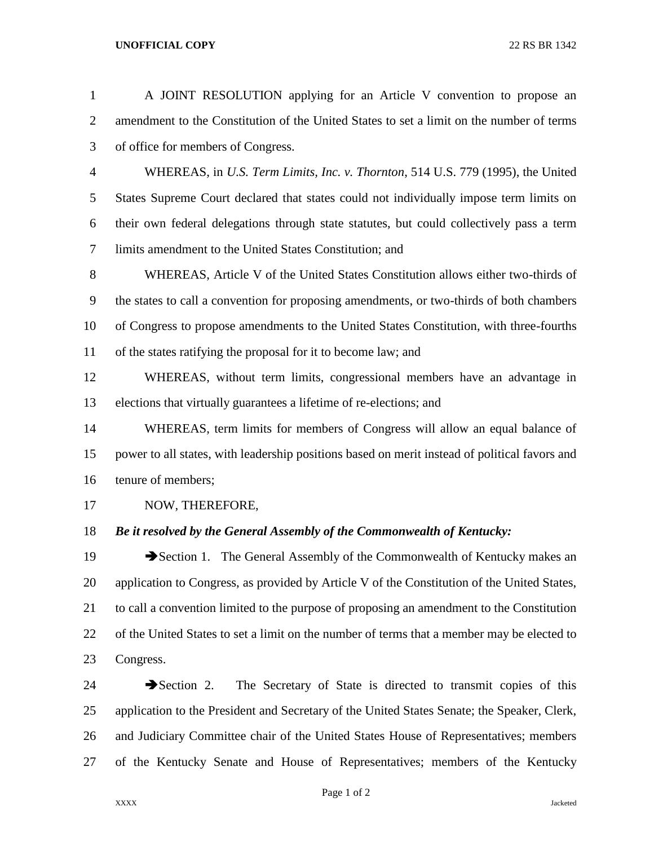## **UNOFFICIAL COPY** 22 RS BR 1342

| $\mathbf{1}$   | A JOINT RESOLUTION applying for an Article V convention to propose an                         |
|----------------|-----------------------------------------------------------------------------------------------|
| $\overline{2}$ | amendment to the Constitution of the United States to set a limit on the number of terms      |
| 3              | of office for members of Congress.                                                            |
| $\overline{4}$ | WHEREAS, in U.S. Term Limits, Inc. v. Thornton, 514 U.S. 779 (1995), the United               |
| 5              | States Supreme Court declared that states could not individually impose term limits on        |
| 6              | their own federal delegations through state statutes, but could collectively pass a term      |
| $\tau$         | limits amendment to the United States Constitution; and                                       |
| $8\,$          | WHEREAS, Article V of the United States Constitution allows either two-thirds of              |
| $\mathbf{9}$   | the states to call a convention for proposing amendments, or two-thirds of both chambers      |
| 10             | of Congress to propose amendments to the United States Constitution, with three-fourths       |
| 11             | of the states ratifying the proposal for it to become law; and                                |
| 12             | WHEREAS, without term limits, congressional members have an advantage in                      |
| 13             | elections that virtually guarantees a lifetime of re-elections; and                           |
| 14             | WHEREAS, term limits for members of Congress will allow an equal balance of                   |
| 15             | power to all states, with leadership positions based on merit instead of political favors and |
| 16             | tenure of members;                                                                            |
| 17             | NOW, THEREFORE,                                                                               |
| 18             | Be it resolved by the General Assembly of the Commonwealth of Kentucky:                       |
| 19             | Section 1. The General Assembly of the Commonwealth of Kentucky makes an                      |
| 20             | application to Congress, as provided by Article V of the Constitution of the United States,   |
| 21             | to call a convention limited to the purpose of proposing an amendment to the Constitution     |
| 22             | of the United States to set a limit on the number of terms that a member may be elected to    |
| 23             | Congress.                                                                                     |
| 24             | $\rightarrow$ Section 2.<br>The Secretary of State is directed to transmit copies of this     |
| 25             | application to the President and Secretary of the United States Senate; the Speaker, Clerk,   |
| 26             | and Judiciary Committee chair of the United States House of Representatives; members          |
| 27             | of the Kentucky Senate and House of Representatives; members of the Kentucky                  |

Page 1 of 2